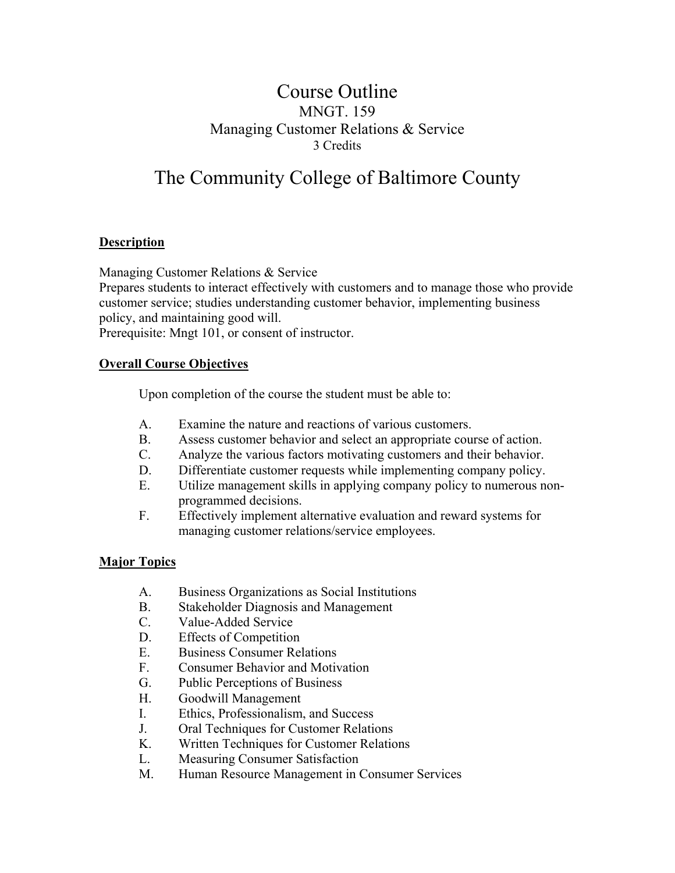# Course Outline MNGT. 159 Managing Customer Relations & Service 3 Credits

# The Community College of Baltimore County

# **Description**

Managing Customer Relations & Service

Prepares students to interact effectively with customers and to manage those who provide customer service; studies understanding customer behavior, implementing business policy, and maintaining good will.

Prerequisite: Mngt 101, or consent of instructor.

#### **Overall Course Objectives**

Upon completion of the course the student must be able to:

- A. Examine the nature and reactions of various customers.
- B. Assess customer behavior and select an appropriate course of action.
- C. Analyze the various factors motivating customers and their behavior.
- D. Differentiate customer requests while implementing company policy.
- E. Utilize management skills in applying company policy to numerous nonprogrammed decisions.
- F. Effectively implement alternative evaluation and reward systems for managing customer relations/service employees.

# **Major Topics**

- A. Business Organizations as Social Institutions
- B. Stakeholder Diagnosis and Management
- C. Value-Added Service
- D. Effects of Competition
- E. Business Consumer Relations
- F. Consumer Behavior and Motivation
- G. Public Perceptions of Business
- H. Goodwill Management
- I. Ethics, Professionalism, and Success
- J. Oral Techniques for Customer Relations
- K. Written Techniques for Customer Relations
- L. Measuring Consumer Satisfaction
- M. Human Resource Management in Consumer Services